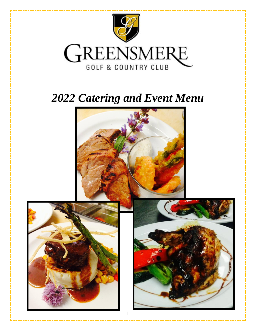

# **2022 Catering and Event Menu**

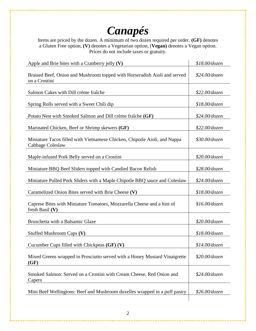# *Canapés*

Items are priced by the dozen. A minimum of two dozen required per order. **(GF)** denotes a Gluten Free option, **(V)** denotes a Vegetarian option, (**Vegan)** denotes a Vegan option. Prices do not include taxes or gratuity.

| Apple and Brie bites with a Cranberry jelly $(V)$                                             | \$18.00/dozen   |
|-----------------------------------------------------------------------------------------------|-----------------|
| Braised Beef, Onion and Mushroom topped with Horseradish Aioli and served<br>on a Crostini    | $$24.00$ /dozen |
| Salmon Cakes with Dill crème fraîche                                                          | $$22.00$ /dozen |
| Spring Rolls served with a Sweet Chili dip                                                    | $$18.00$ /dozen |
| Potato Nest with Smoked Salmon and Dill crème fraîche (GF)                                    | \$24.00/dozen   |
| Marinated Chicken, Beef or Shrimp skewers (GF)                                                | $$22.00$ /dozen |
| Miniature Tacos filled with Vietnamese Chicken, Chipotle Aioli, and Nappa<br>Cabbage Coleslaw | $$30.00$ /dozen |
| Maple-infused Pork Belly served on a Crostini                                                 | \$20.00/dozen   |
| Miniature BBQ Beef Sliders topped with Candied Bacon Relish                                   | \$28.00/dozen   |
| Miniature Pulled Pork Sliders with a Maple Chipotle BBQ sauce and Coleslaw                    | $$24.00$ /dozen |
| Caramelized Onion Bites served with Brie Cheese (V)                                           | $$18.00$ /dozen |
| Caprese Bites with Miniature Tomatoes, Mozzarella Cheese and a hint of<br>fresh Basil $(V)$   | $$16.00$ /dozen |
| Bruschetta with a Balsamic Glaze                                                              | $$20.00$ /dozen |
| Stuffed Mushroom Caps (V)                                                                     | $$18.00$ /dozen |
| Cucumber Cups filled with Chickpeas (GF) (V)                                                  | $$14.00$ /dozen |
| Mixed Greens wrapped in Prosciutto served with a Honey Mustard Vinaigrette<br>(GF)            | $$20.00$ /dozen |
| Smoked Salmon: Served on a Crostini with Cream Cheese, Red Onion and<br>Capers                | $$24.00$ /dozen |
| Mini Beef Wellingtons: Beef and Mushroom duxelles wrapped in a puff pastry                    | $$26.00$ /dozen |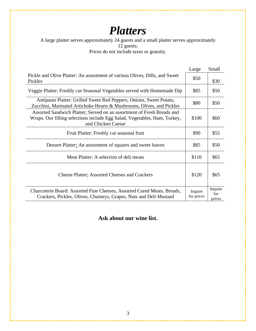## *Platters*

A large platter serves approximately 24 guests and a small platter serves approximately 12 guests. Prices do not include taxes or gratuity.

|                                                                                                                                                                           | Large                 | Small                    |
|---------------------------------------------------------------------------------------------------------------------------------------------------------------------------|-----------------------|--------------------------|
| Pickle and Olive Platter: An assortment of various Olives, Dills, and Sweet<br>Pickles                                                                                    | \$50                  | \$30                     |
| Veggie Platter: Freshly cut Seasonal Vegetables served with Homemade Dip                                                                                                  | \$85                  | \$50                     |
| Antipasto Platter: Grilled Sweet Red Peppers, Onions, Sweet Potato,<br>Zucchini, Marinated Artichoke Hearts & Mushrooms, Olives, and Pickles                              | \$80                  | \$50                     |
| Assorted Sandwich Platter: Served on an assortment of Fresh Breads and<br>Wraps. Our filling selections include Egg Salad, Vegetables, Ham, Turkey,<br>and Chicken Caesar | \$100                 | \$60                     |
| Fruit Platter: Freshly cut seasonal fruit                                                                                                                                 | \$90                  | \$55                     |
| Dessert Platter: An assortment of squares and sweet loaves                                                                                                                | \$85                  | \$50                     |
| Meat Platter: A selection of deli meats                                                                                                                                   | \$110                 | \$65                     |
| <b>Cheese Platter: Assorted Cheeses and Crackers</b>                                                                                                                      | \$120                 | \$65                     |
| Charcuterie Board: Assorted Fine Cheeses, Assorted Cured Meats, Breads,<br>Crackers, Pickles, Olives, Chutneys, Grapes, Nuts and Deli Mustard                             | Inquire<br>for prices | Inquire<br>for<br>prices |

**Ask about our wine list.**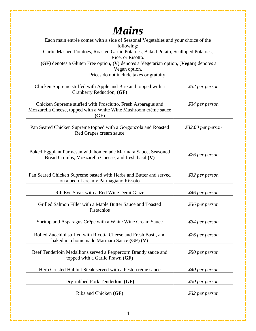## *Mains*

| Each main entrée comes with a side of Seasonal Vegetables and your choice of the<br>following:                                           |                    |
|------------------------------------------------------------------------------------------------------------------------------------------|--------------------|
| Garlic Mashed Potatoes, Roasted Garlic Potatoes, Baked Potato, Scalloped Potatoes,<br>Rice, or Risotto.                                  |                    |
| (GF) denotes a Gluten Free option, (V) denotes a Vegetarian option, (Vegan) denotes a                                                    |                    |
| Vegan option.<br>Prices do not include taxes or gratuity.                                                                                |                    |
| Chicken Supreme stuffed with Apple and Brie and topped with a<br>Cranberry Reduction, (GF)                                               | \$32 per person    |
| Chicken Supreme stuffed with Prosciutto, Fresh Asparagus and<br>Mozzarella Cheese, topped with a White Wine Mushroom crème sauce<br>(GF) | \$34 per person    |
| Pan Seared Chicken Supreme topped with a Gorgonzola and Roasted<br>Red Grapes cream sauce                                                | \$32.00 per person |
| Baked Eggplant Parmesan with homemade Marinara Sauce, Seasoned<br>Bread Crumbs, Mozzarella Cheese, and fresh basil (V)                   | \$26 per person    |
| Pan Seared Chicken Supreme basted with Herbs and Butter and served<br>on a bed of creamy Parmagiano Rissoto                              | \$32 per person    |
| Rib Eye Steak with a Red Wine Demi Glaze                                                                                                 | \$46 per person    |
| Grilled Salmon Fillet with a Maple Butter Sauce and Toasted<br>Pistachios                                                                | \$36 per person    |
| Shrimp and Asparagus Crêpe with a White Wine Cream Sauce                                                                                 | \$34 per person    |
| Rolled Zucchini stuffed with Ricotta Cheese and Fresh Basil, and<br>baked in a homemade Marinara Sauce (GF) (V)                          | \$26 per person    |
| Beef Tenderloin Medallions served a Peppercorn Brandy sauce and<br>topped with a Garlic Prawn (GF)                                       | \$50 per person    |
| Herb Crusted Halibut Steak served with a Pesto crème sauce                                                                               | \$40 per person    |
| Dry-rubbed Pork Tenderloin (GF)                                                                                                          | \$30 per person    |
| Ribs and Chicken (GF)                                                                                                                    | \$32 per person    |
|                                                                                                                                          |                    |